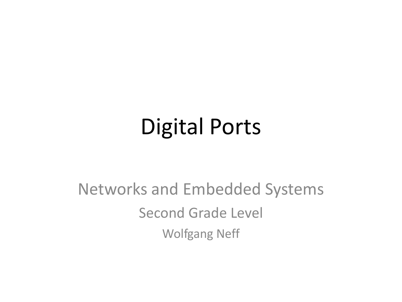### Digital Ports

### Networks and Embedded Systems Second Grade Level Wolfgang Neff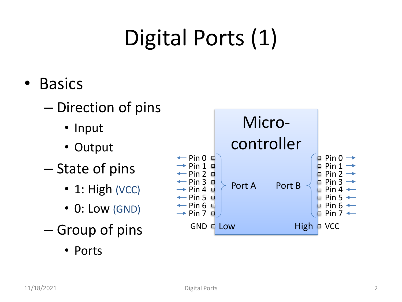### Digital Ports (1)

- Basics
	- Direction of pins
		- Input
		- Output
	- State of pins
		- $\cdot$  1: High (VCC)
		- 0: Low (GND)
	- Group of pins
		- Ports

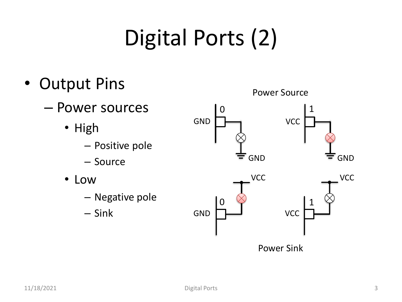### Digital Ports (2)

- Output Pins
	- Power sources
		- High
			- Positive pole
			- Source
		- Low
			- Negative pole
			- Sink

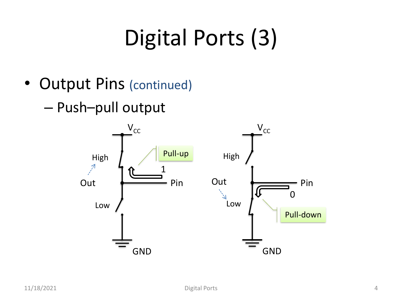### Digital Ports (3)

- Output Pins (continued)
	- Push–pull output

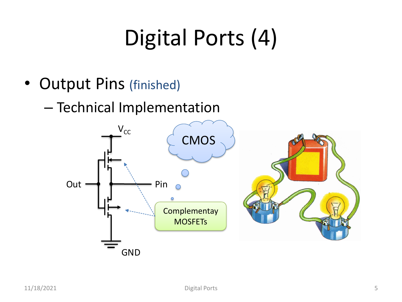### Digital Ports (4)

- Output Pins (finished)
	- Technical Implementation

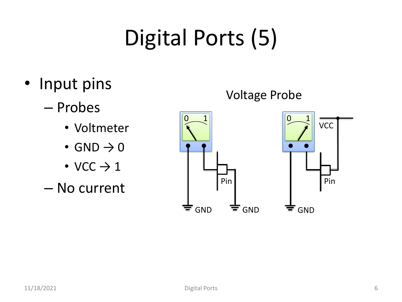## Digital Ports (5)

- Input pins
	- Probes
		- Voltmeter
		- GND  $\rightarrow$  0
		- VCC  $\rightarrow$  1
	- No current

#### Voltage Probe

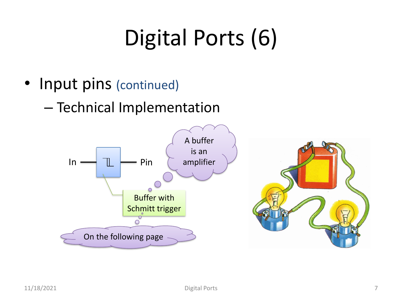### Digital Ports (6)

- Input pins (continued)
	- Technical Implementation



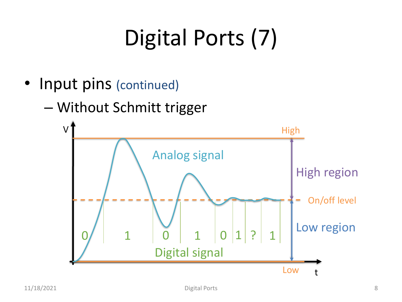# Digital Ports (7)

- Input pins (continued)
	- Without Schmitt trigger

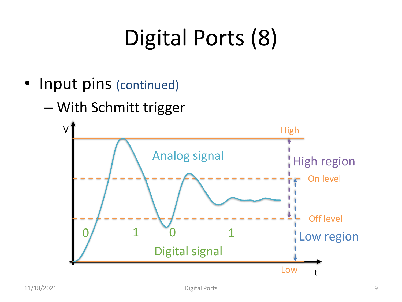## Digital Ports (8)

- Input pins (continued)
	- With Schmitt trigger

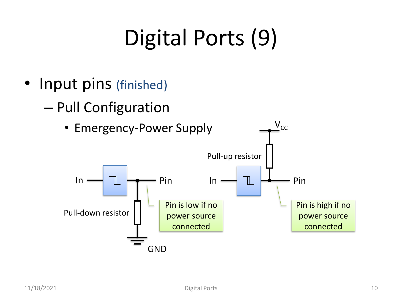### Digital Ports (9)

- Input pins (finished)
	- Pull Configuration

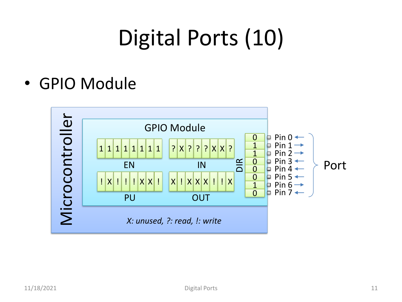### Digital Ports (10)

• GPIO Module